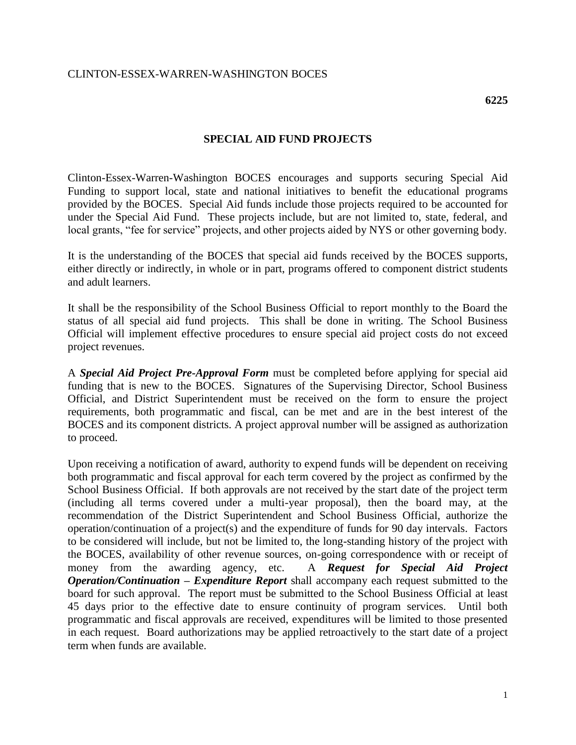## **SPECIAL AID FUND PROJECTS**

Clinton-Essex-Warren-Washington BOCES encourages and supports securing Special Aid Funding to support local, state and national initiatives to benefit the educational programs provided by the BOCES. Special Aid funds include those projects required to be accounted for under the Special Aid Fund. These projects include, but are not limited to, state, federal, and local grants, "fee for service" projects, and other projects aided by NYS or other governing body.

It is the understanding of the BOCES that special aid funds received by the BOCES supports, either directly or indirectly, in whole or in part, programs offered to component district students and adult learners.

It shall be the responsibility of the School Business Official to report monthly to the Board the status of all special aid fund projects. This shall be done in writing. The School Business Official will implement effective procedures to ensure special aid project costs do not exceed project revenues.

A *Special Aid Project Pre-Approval Form* must be completed before applying for special aid funding that is new to the BOCES. Signatures of the Supervising Director, School Business Official, and District Superintendent must be received on the form to ensure the project requirements, both programmatic and fiscal, can be met and are in the best interest of the BOCES and its component districts. A project approval number will be assigned as authorization to proceed.

Upon receiving a notification of award, authority to expend funds will be dependent on receiving both programmatic and fiscal approval for each term covered by the project as confirmed by the School Business Official. If both approvals are not received by the start date of the project term (including all terms covered under a multi-year proposal), then the board may, at the recommendation of the District Superintendent and School Business Official, authorize the operation/continuation of a project(s) and the expenditure of funds for 90 day intervals. Factors to be considered will include, but not be limited to, the long-standing history of the project with the BOCES, availability of other revenue sources, on-going correspondence with or receipt of money from the awarding agency, etc. A *Request for Special Aid Project Operation/Continuation – Expenditure Report* shall accompany each request submitted to the board for such approval. The report must be submitted to the School Business Official at least 45 days prior to the effective date to ensure continuity of program services. Until both programmatic and fiscal approvals are received, expenditures will be limited to those presented in each request. Board authorizations may be applied retroactively to the start date of a project term when funds are available.